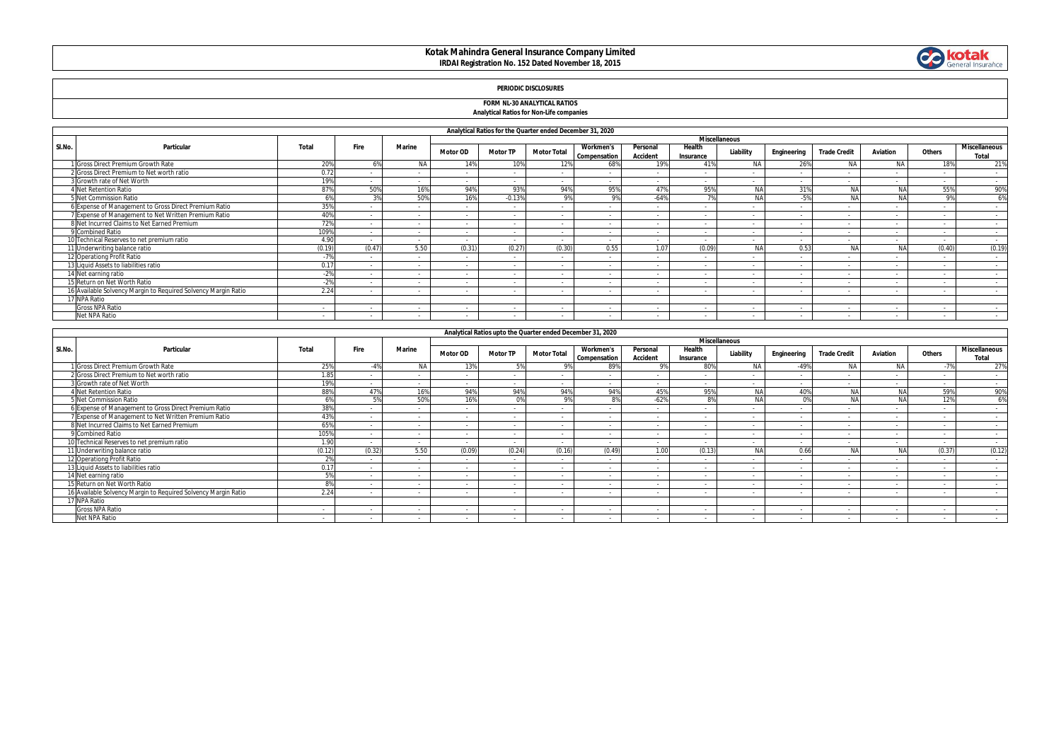# **Kotak Mahindra General Insurance Company Limited IRDAI Registration No. 152 Dated November 18, 2015**



# **PERIODIC DISCLOSURES**

### **FORM NL-30 ANALYTICAL RATIOS Analytical Ratios for Non-Life companies**

|        |                                                                |        |        |               |                 | Analytical Ratios for the Quarter ended December 31, 2020 |                    |                                  |                             |                     |                      |             |                     |                |                |                                      |
|--------|----------------------------------------------------------------|--------|--------|---------------|-----------------|-----------------------------------------------------------|--------------------|----------------------------------|-----------------------------|---------------------|----------------------|-------------|---------------------|----------------|----------------|--------------------------------------|
|        |                                                                |        |        |               |                 |                                                           |                    |                                  |                             |                     | <b>Miscellaneous</b> |             |                     |                |                |                                      |
| SI.No. | Particular                                                     | Total  | Fire   | <b>Marine</b> | <b>Motor OD</b> | <b>Motor TP</b>                                           | <b>Motor Total</b> | <b>Workmen's</b><br>Compensation | Personal<br><b>Accident</b> | Health<br>Insurance | Liability            | Engineering | <b>Trade Credit</b> | Aviation       | Others         | <b>Miscellaneous</b><br><b>Total</b> |
|        | I Gross Direct Premium Growth Rate                             | 20%    |        | <b>NA</b>     | 14%             | 10%                                                       | 12%                | 68%                              | 19%                         | 41%                 | <b>NA</b>            | 26%         | N/                  | <b>NA</b>      |                | 21%                                  |
|        | 2 Gross Direct Premium to Net worth ratio                      | 0.72   |        |               |                 |                                                           |                    |                                  |                             |                     |                      |             |                     |                |                | $\sim$                               |
|        | 3 Growth rate of Net Worth                                     | 19%    |        |               | $\sim$          | $\sim$                                                    | . .                |                                  |                             |                     |                      | $\sim$      | $\overline{a}$      | $\overline{a}$ |                | $\sim$                               |
|        | <b>Net Retention Ratio</b>                                     | 87%    | 50%    | 16%           | 94%             | 93%                                                       | 94%                | 95%                              | 47%                         | 95%                 | <b>NA</b>            | 31%         | NA                  | <b>NA</b>      | 55%            | 90%                                  |
|        | 5 Net Commission Ratio                                         |        |        | 50%           | 16%             | $-0.13%$                                                  | 9%                 | 9%                               | $-64%$                      |                     |                      |             | NA                  | <b>NA</b>      | <b>9%</b>      | 6%                                   |
|        | 6 Expense of Management to Gross Direct Premium Ratio          | 35%    |        |               |                 | $\sim$                                                    |                    |                                  |                             |                     |                      |             | $\sim$              |                |                | $\sim$                               |
|        | 7 Expense of Management to Net Written Premium Ratio           | 40%    |        |               | $\sim$          | $\sim$                                                    |                    |                                  |                             |                     |                      | $\sim$      | $\sim$              | $\sim$         |                | $\sim$                               |
|        | 8 Net Incurred Claims to Net Earned Premium                    | 729    | $\sim$ |               | $\sim$          | $\sim$                                                    | . .                | $\sim$                           |                             |                     | $\sim$               | $\sim$      | $\sim$              | $\sim$         | $\sim$         | $\sim$                               |
|        | 9 Combined Ratio                                               | 1099   |        |               |                 | $\sim$                                                    |                    |                                  |                             |                     |                      |             | $\sim$              |                |                | $\sim$                               |
|        | 10 Technical Reserves to net premium ratio                     | 4.90   | $\sim$ |               | $\sim$          | $\sim$                                                    |                    |                                  |                             |                     |                      | $\sim$      | $\sim$              | $\sim$         |                | $\sim$                               |
|        | 11 Underwriting balance ratio                                  | (0.19) | (0.47) | 5.50          | (0.31)          | (0.27)                                                    | (0.30)             | 0.55                             | 1.07                        | (0.09)              | NΔ                   | 0.53        | NA                  | NA             | (0.40)         | (0.19)                               |
|        | 12 Operationg Profit Ratio                                     | 70     | $\sim$ |               | $\sim$          | $\sim$                                                    | . .                | $\sim$                           | $\overline{\phantom{a}}$    | $\sim$              |                      | $\sim$      | $\sim$              | $\sim$         |                | $\sim$                               |
|        | 13 Liquid Assets to liabilities ratio                          | 0.17   |        |               | $\sim$          | $\sim$                                                    |                    |                                  |                             |                     |                      |             | $\sim$              |                |                |                                      |
|        | 14 Net earning ratio                                           | $-2%$  |        |               |                 | $\sim$                                                    |                    |                                  |                             |                     |                      |             | $\sim$              |                |                | $\overline{\phantom{a}}$             |
|        | 15 Return on Net Worth Ratio                                   | $-2%$  | $\sim$ |               | $\sim$          | $\sim$                                                    | . .                | $\sim$                           |                             | $\sim$              | $\sim$               | $\sim$      | $\sim$              | $\sim$         | $\sim$         | $\sim$                               |
|        | 16 Available Solvency Margin to Required Solvency Margin Ratio | 2.24   |        |               | $\sim$          | $\sim$                                                    | . .                | $\sim$                           | $\overline{\phantom{a}}$    | $\sim$              |                      | $\sim$      | $\overline{a}$      | $\overline{a}$ | $\overline{a}$ | $\sim$                               |
|        | 17 NPA Ratio                                                   |        |        |               |                 |                                                           |                    |                                  |                             |                     |                      |             |                     |                |                |                                      |
|        | <b>Gross NPA Ratio</b>                                         |        |        |               |                 |                                                           |                    |                                  |                             |                     |                      |             |                     |                |                |                                      |
|        | Net NPA Ratio                                                  | $\sim$ |        |               | $\sim$          | $\sim$                                                    |                    |                                  |                             |                     |                      | $\sim$      | $\sim$              | $\sim$         |                |                                      |

|        |                                                                |                 |             |                      |                 | Analytical Ratios upto the Quarter ended December 31, 2020 |                    |                                  |                             |                     |           |             |                     |           |        |                               |
|--------|----------------------------------------------------------------|-----------------|-------------|----------------------|-----------------|------------------------------------------------------------|--------------------|----------------------------------|-----------------------------|---------------------|-----------|-------------|---------------------|-----------|--------|-------------------------------|
|        |                                                                |                 |             | <b>Miscellaneous</b> |                 |                                                            |                    |                                  |                             |                     |           |             |                     |           |        |                               |
| SI.No. | Particular                                                     | Total           | <b>Fire</b> | <b>Marine</b>        | <b>Motor OD</b> | <b>Motor TP</b>                                            | <b>Motor Total</b> | <b>Workmen's</b><br>Compensation | Personal<br><b>Accident</b> | Health<br>Insurance | Liability | Engineering | <b>Trade Credit</b> | Aviation  | Others | <b>Miscellaneous</b><br>Total |
|        | 1 Gross Direct Premium Growth Rate                             | 25%             |             | <b>NA</b>            | 13%             | 5%                                                         | 9%                 | 89%                              | 0 <sup>0</sup>              | 80%                 | <b>NA</b> | $-49%$      | <b>NA</b>           | NA.       | $-7%$  | 27%                           |
|        | 2 Gross Direct Premium to Net worth ratio                      | 1.85            |             |                      |                 | $\overline{a}$                                             |                    |                                  |                             |                     |           |             |                     |           |        | $\sim$                        |
|        | 3 Growth rate of Net Worth                                     | 19%             |             |                      | $\sim$          | $\sim$                                                     | $\sim$             |                                  | . .                         |                     |           | $\sim$      | $\sim$              |           |        | $\sim$                        |
|        | 4 Net Retention Ratio                                          | 88%             |             | 16%                  | 94%             | 94%                                                        | 94%                | 94%                              | 45%                         | 95%                 | NA        | 40%         | <b>AIA</b>          | NA        | 59%    | 90%                           |
|        | 5 Net Commission Ratio                                         | 6%              | r or        | 50%                  | 16%             | 0%                                                         | 9%                 | 8%                               | $-62%$                      | 8%                  | NA        | 0%          | <b>NA</b>           | <b>NA</b> | 12%    | 6%                            |
|        | 6 Expense of Management to Gross Direct Premium Ratio          | 38%             |             |                      | $\sim$          | $\sim$                                                     | $\sim$             |                                  | $\sim$                      |                     |           | $\sim$      | $\sim$              | $\sim$    | $\sim$ | $\sim$                        |
|        | 7 Expense of Management to Net Written Premium Ratio           | 43%             |             |                      | $\sim$          | $\sim$                                                     |                    |                                  | $\sim$                      |                     |           | $\sim$      | $\sim$              |           |        | $\sim$                        |
|        | 8 Net Incurred Claims to Net Earned Premium                    | 65%             |             |                      | ٠.              | $\sim$                                                     |                    |                                  |                             |                     |           |             |                     |           |        | $\sim$                        |
|        | 9 Combined Ratio                                               | 105%            |             |                      | . .             | $\overline{a}$                                             |                    |                                  | $\overline{\phantom{a}}$    | $\sim$              |           |             |                     |           |        | $\sim$                        |
|        | 10 Technical Reserves to net premium ratio                     | 1.90            | $\sim$      |                      | $\sim$          | $\sim$                                                     | $\sim$             |                                  | $\sim$                      | $\sim$              | $\sim$    | $\sim$      | $\sim$              |           |        | $\sim$                        |
|        | 11 Underwriting balance ratio                                  | (0.12)          | (0.32)      | 5.50                 | (0.09)          | (0.24)                                                     | (0.16)             | (0.49)                           | 1.00                        | (0.13)              | NA        | 0.66        | <b>AIA</b>          | NA        | (0.37) | (0.12)                        |
|        | 12 Operationg Profit Ratio                                     | 20 <sup>1</sup> |             |                      | - 11            | $\sim$                                                     | $\sim$             |                                  | $\sim$                      |                     |           |             |                     |           |        | $\sim$                        |
|        | 13 Liquid Assets to liabilities ratio                          | 0.17            |             | $\sim$               | . .             | $\sim$                                                     | $\sim$             |                                  | . .                         |                     |           | $\sim$      |                     |           | $\sim$ | $\sim$                        |
|        | 14 Net earning ratio                                           | EQ              |             |                      | $\sim$          | $\sim$                                                     |                    |                                  | . .                         |                     |           |             | $\sim$              |           | $\sim$ | $\sim$                        |
|        | 15 Return on Net Worth Ratio                                   | QQ              |             |                      | . .             |                                                            |                    |                                  |                             |                     |           |             |                     |           |        | $\sim$                        |
|        | 16 Available Solvency Margin to Required Solvency Margin Ratio | 2.24            |             | $\sim$               | $\sim$          | $\sim$                                                     | $\sim$             | $\sim$                           | . .                         | $\sim$              | $\sim$    | $\sim$      |                     |           | $\sim$ | $\sim$                        |
|        | 17 NPA Ratio                                                   |                 |             |                      |                 |                                                            |                    |                                  |                             |                     |           |             |                     |           |        |                               |
|        | <b>Gross NPA Ratio</b>                                         |                 |             |                      | . .             | $\sim$                                                     |                    |                                  | $\overline{\phantom{a}}$    |                     |           |             |                     |           |        | $\sim$                        |
|        | Net NPA Ratio                                                  |                 |             |                      |                 |                                                            |                    |                                  |                             |                     |           |             |                     |           |        |                               |